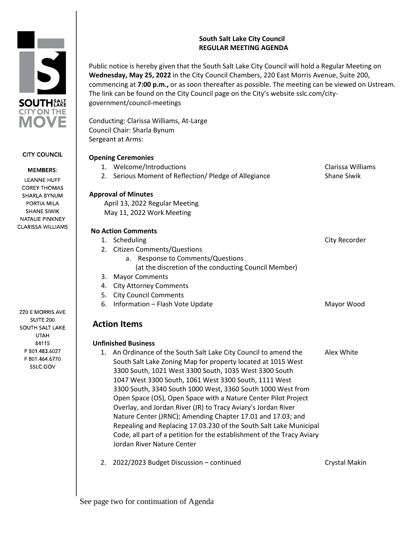## **South Salt Lake City Council REGULAR MEETING AGENDA**

Public notice is hereby given that the South Salt Lake City Council will hold a Regular Meeting on **Wednesday, May 25, 2022** in the City Council Chambers, 220 East Morris Avenue, Suite 200, commencing at **7:00 p.m.,** or as soon thereafter as possible. The meeting can be viewed on Ustream. The link can be found on the City Council page on the City's website sslc.com/citygovernment/council-meetings

Conducting: Clarissa Williams, At-Large Council Chair: Sharla Bynum Sergeant at Arms:

# **Opening Ceremonies**

|    | OPCHING CONCINUINGS                                                               |                                         |
|----|-----------------------------------------------------------------------------------|-----------------------------------------|
|    | 1. Welcome/Introductions<br>2. Serious Moment of Reflection/ Pledge of Allegiance | Clarissa Williams<br><b>Shane Siwik</b> |
|    | <b>Approval of Minutes</b>                                                        |                                         |
|    |                                                                                   |                                         |
|    | April 13, 2022 Regular Meeting                                                    |                                         |
|    | May 11, 2022 Work Meeting                                                         |                                         |
|    | <b>No Action Comments</b>                                                         |                                         |
|    | 1. Scheduling                                                                     | City Recorder                           |
|    | 2. Citizen Comments/Questions                                                     |                                         |
|    | Response to Comments/Questions<br>a.                                              |                                         |
|    | (at the discretion of the conducting Council Member)                              |                                         |
| 3. | <b>Mayor Comments</b>                                                             |                                         |
| 4. | <b>City Attorney Comments</b>                                                     |                                         |
| 5. | <b>City Council Comments</b>                                                      |                                         |
| 6. | Information - Flash Vote Update                                                   | Mayor Wood                              |
|    | <b>Action Items</b>                                                               |                                         |
|    | <b>Unfinished Business</b>                                                        |                                         |
| 1. | An Ordinance of the South Salt Lake City Council to amend the                     | Alex White                              |
|    | South Salt Lake Zoning Map for property located at 1015 West                      |                                         |
|    | 3300 South, 1021 West 3300 South, 1035 West 3300 South                            |                                         |
|    | 1047 West 3300 South, 1061 West 3300 South, 1111 West                             |                                         |
|    | 3300 South, 3340 South 1000 West, 3360 South 1000 West from                       |                                         |
|    | Onen Casse (OC), Onen Casse with a Neture Center Bilet Breiget                    |                                         |



2. 2022/2023 Budget Discussion – continued Crystal Makin

See page two for continuation of Agenda

Jordan River Nature Center

220 E MORRIS AVE **SUITE 200 SOUTH SALT LAKE UTAH** 84115 P 801.483.6027 F 801.464.6770 SSLC.GOV



## **CITY COUNCIL**

## **MEMBERS: LEANNE HUFF**

**COREY THOMAS** SHARLA BYNUM PORTIA MILA **SHANE SIWIK** NATALIE PINKNEY **CLARISSA WILLIAMS**